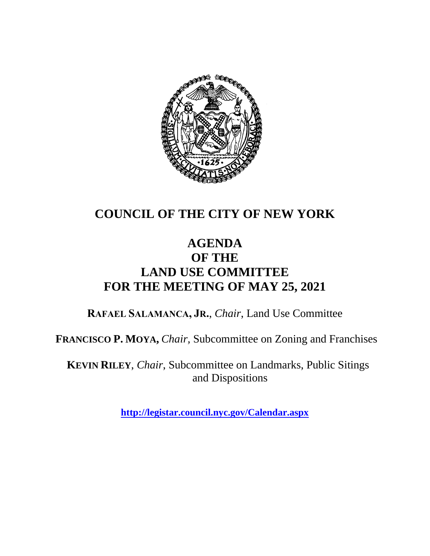

## **COUNCIL OF THE CITY OF NEW YORK**

### **AGENDA OF THE LAND USE COMMITTEE FOR THE MEETING OF MAY 25, 2021**

**RAFAEL SALAMANCA, JR.**, *Chair*, Land Use Committee

**FRANCISCO P. MOYA,** *Chair,* Subcommittee on Zoning and Franchises

**KEVIN RILEY**, *Chair*, Subcommittee on Landmarks, Public Sitings and Dispositions

**<http://legistar.council.nyc.gov/Calendar.aspx>**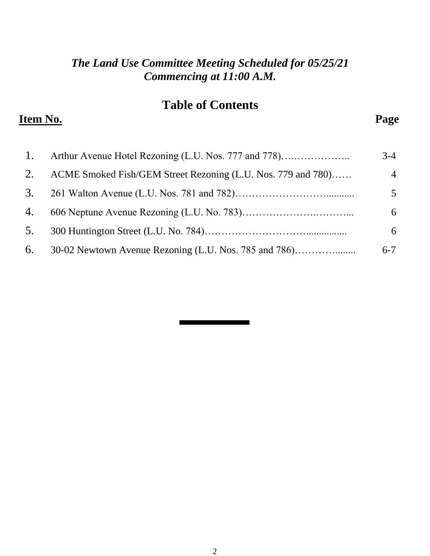#### *The Land Use Committee Meeting Scheduled for 05/25/21 Commencing at 11:00 A.M.*

### **Table of Contents**

#### **Item No. Page**

| 1. |                                                              | $3-4$          |
|----|--------------------------------------------------------------|----------------|
| 2. | ACME Smoked Fish/GEM Street Rezoning (L.U. Nos. 779 and 780) | $\overline{4}$ |
| 3. |                                                              | 5              |
| 4. |                                                              | 6              |
| 5. |                                                              | 6              |
| 6. | 30-02 Newtown Avenue Rezoning (L.U. Nos. 785 and 786)        | $6 - 7$        |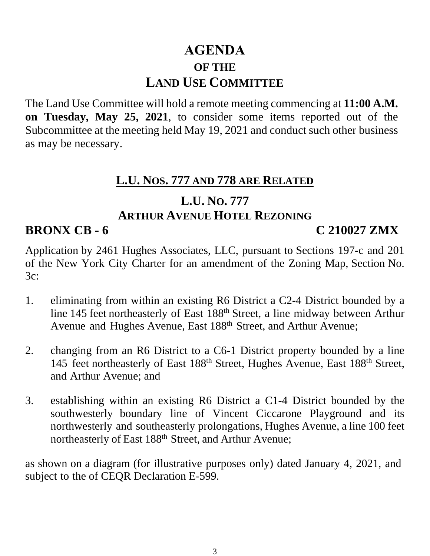## **AGENDA OF THE LAND USE COMMITTEE**

The Land Use Committee will hold a remote meeting commencing at **11:00 A.M. on Tuesday, May 25, 2021**, to consider some items reported out of the Subcommittee at the meeting held May 19, 2021 and conduct such other business as may be necessary.

#### **L.U. NOS. 777 AND 778 ARE RELATED**

#### **L.U. NO. 777 ARTHUR AVENUE HOTEL REZONING**

#### **BRONX CB - 6 C 210027 ZMX**

Application by 2461 Hughes Associates, LLC, pursuant to Sections 197-c and 201 of the New York City Charter for an amendment of the Zoning Map, Section No. 3c:

- 1. eliminating from within an existing R6 District a C2-4 District bounded by a line 145 feet northeasterly of East 188th Street, a line midway between Arthur Avenue and Hughes Avenue, East 188<sup>th</sup> Street, and Arthur Avenue;
- 2. changing from an R6 District to a C6-1 District property bounded by a line 145 feet northeasterly of East 188th Street, Hughes Avenue, East 188th Street, and Arthur Avenue; and
- 3. establishing within an existing R6 District a C1-4 District bounded by the southwesterly boundary line of Vincent Ciccarone Playground and its northwesterly and southeasterly prolongations, Hughes Avenue, a line 100 feet northeasterly of East 188<sup>th</sup> Street, and Arthur Avenue;

as shown on a diagram (for illustrative purposes only) dated January 4, 2021, and subject to the of CEQR Declaration E-599.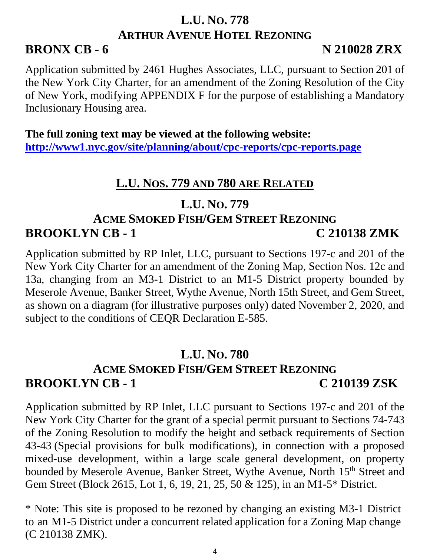## **L.U. NO. 778 ARTHUR AVENUE HOTEL REZONING**

#### **BRONX CB - 6 N 210028 ZRX**

Application submitted by 2461 Hughes Associates, LLC, pursuant to Section 201 of the New York City Charter, for an amendment of the Zoning Resolution of the City of New York, modifying APPENDIX F for the purpose of establishing a Mandatory Inclusionary Housing area.

**The full zoning text may be viewed at the following website: <http://www1.nyc.gov/site/planning/about/cpc-reports/cpc-reports.page>**

### **L.U. NOS. 779 AND 780 ARE RELATED**

### **L.U. NO. 779**

## **ACME SMOKED FISH/GEM STREET REZONING BROOKLYN CB - 1 C 210138 ZMK**

Application submitted by RP Inlet, LLC, pursuant to Sections 197-c and 201 of the New York City Charter for an amendment of the Zoning Map, Section Nos. 12c and 13a, changing from an M3-1 District to an M1-5 District property bounded by Meserole Avenue, Banker Street, Wythe Avenue, North 15th Street, and Gem Street, as shown on a diagram (for illustrative purposes only) dated November 2, 2020, and subject to the conditions of CEQR Declaration E-585.

#### **L.U. NO. 780 ACME SMOKED FISH/GEM STREET REZONING BROOKLYN CB - 1 C 210139 ZSK**

Application submitted by RP Inlet, LLC pursuant to Sections 197-c and 201 of the New York City Charter for the grant of a special permit pursuant to Sections 74-743 of the Zoning Resolution to modify the height and setback requirements of Section 43-43 (Special provisions for bulk modifications), in connection with a proposed mixed-use development, within a large scale general development, on property bounded by Meserole Avenue, Banker Street, Wythe Avenue, North 15<sup>th</sup> Street and Gem Street (Block 2615, Lot 1, 6, 19, 21, 25, 50 & 125), in an M1-5\* District.

\* Note: This site is proposed to be rezoned by changing an existing M3-1 District to an M1-5 District under a concurrent related application for a Zoning Map change (C 210138 ZMK).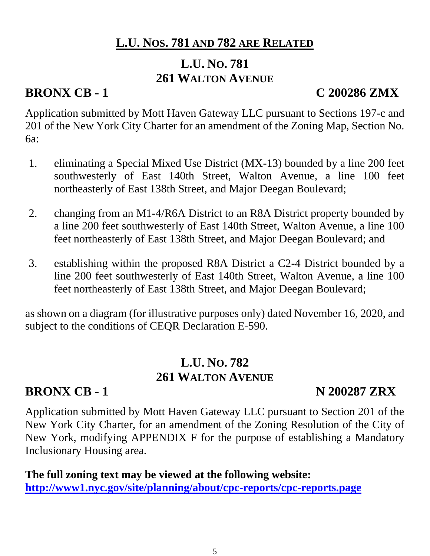### **L.U. NOS. 781 AND 782 ARE RELATED**

## **L.U. NO. 781 261 WALTON AVENUE**

## **BRONX CB - 1 C 200286 ZMX**

Application submitted by Mott Haven Gateway LLC pursuant to Sections 197-c and 201 of the New York City Charter for an amendment of the Zoning Map, Section No. 6a:

- 1. eliminating a Special Mixed Use District (MX-13) bounded by a line 200 feet southwesterly of East 140th Street, Walton Avenue, a line 100 feet northeasterly of East 138th Street, and Major Deegan Boulevard;
- 2. changing from an M1-4/R6A District to an R8A District property bounded by a line 200 feet southwesterly of East 140th Street, Walton Avenue, a line 100 feet northeasterly of East 138th Street, and Major Deegan Boulevard; and
- 3. establishing within the proposed R8A District a C2-4 District bounded by a line 200 feet southwesterly of East 140th Street, Walton Avenue, a line 100 feet northeasterly of East 138th Street, and Major Deegan Boulevard;

as shown on a diagram (for illustrative purposes only) dated November 16, 2020, and subject to the conditions of CEQR Declaration E-590.

#### **L.U. NO. 782 261 WALTON AVENUE**

## **BRONX CB - 1 N 200287 ZRX**

Application submitted by Mott Haven Gateway LLC pursuant to Section 201 of the New York City Charter, for an amendment of the Zoning Resolution of the City of New York, modifying APPENDIX F for the purpose of establishing a Mandatory Inclusionary Housing area.

**The full zoning text may be viewed at the following website: <http://www1.nyc.gov/site/planning/about/cpc-reports/cpc-reports.page>**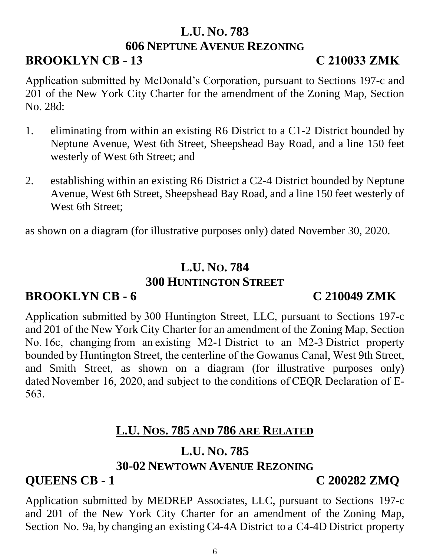# **L.U. NO. 783**

#### **606 NEPTUNE AVENUE REZONING**

## **BROOKLYN CB - 13 C 210033 ZMK**

Application submitted by McDonald's Corporation, pursuant to Sections 197-c and 201 of the New York City Charter for the amendment of the Zoning Map, Section No. 28d:

- 1. eliminating from within an existing R6 District to a C1-2 District bounded by Neptune Avenue, West 6th Street, Sheepshead Bay Road, and a line 150 feet westerly of West 6th Street; and
- 2. establishing within an existing R6 District a C2-4 District bounded by Neptune Avenue, West 6th Street, Sheepshead Bay Road, and a line 150 feet westerly of West 6th Street;

as shown on a diagram (for illustrative purposes only) dated November 30, 2020.

#### **L.U. NO. 784 300 HUNTINGTON STREET**

#### **BROOKLYN CB - 6 C 210049 ZMK**

Application submitted by 300 Huntington Street, LLC, pursuant to Sections 197-c and 201 of the New York City Charter for an amendment of the Zoning Map, Section No. 16c, changing from an existing M2-1 District to an M2-3 District property bounded by Huntington Street, the centerline of the Gowanus Canal, West 9th Street, and Smith Street, as shown on a diagram (for illustrative purposes only) dated November 16, 2020, and subject to the conditions of CEQR Declaration of E-563. 

## **L.U. NOS. 785 AND 786 ARE RELATED**

#### **L.U. NO. 785 30-02 NEWTOWN AVENUE REZONING**

## **QUEENS CB - 1 C 200282 ZMQ**

Application submitted by MEDREP Associates, LLC, pursuant to Sections 197-c and 201 of the New York City Charter for an amendment of the Zoning Map, Section No. 9a, by changing an existing C4-4A District to a C4-4D District property